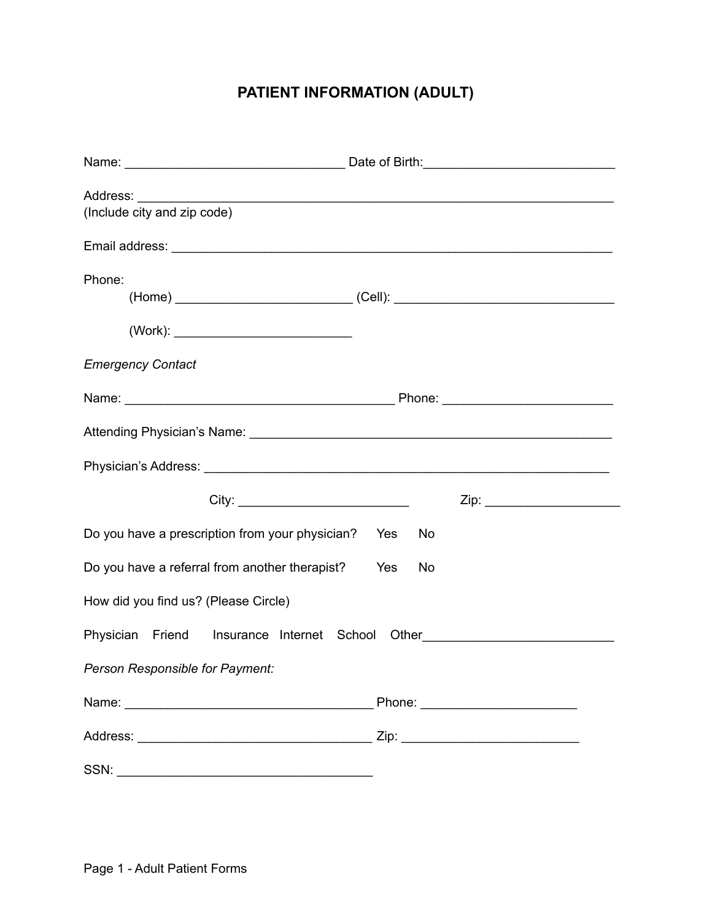## **PATIENT INFORMATION (ADULT)**

| (Include city and zip code)                                 |  |  |
|-------------------------------------------------------------|--|--|
|                                                             |  |  |
| Phone:                                                      |  |  |
| <b>Emergency Contact</b>                                    |  |  |
|                                                             |  |  |
|                                                             |  |  |
|                                                             |  |  |
|                                                             |  |  |
| Do you have a prescription from your physician? Yes<br>No   |  |  |
| Do you have a referral from another therapist?<br>Yes<br>No |  |  |
| How did you find us? (Please Circle)                        |  |  |
| Physician Friend Insurance Internet School                  |  |  |
| Person Responsible for Payment:                             |  |  |
|                                                             |  |  |
|                                                             |  |  |
|                                                             |  |  |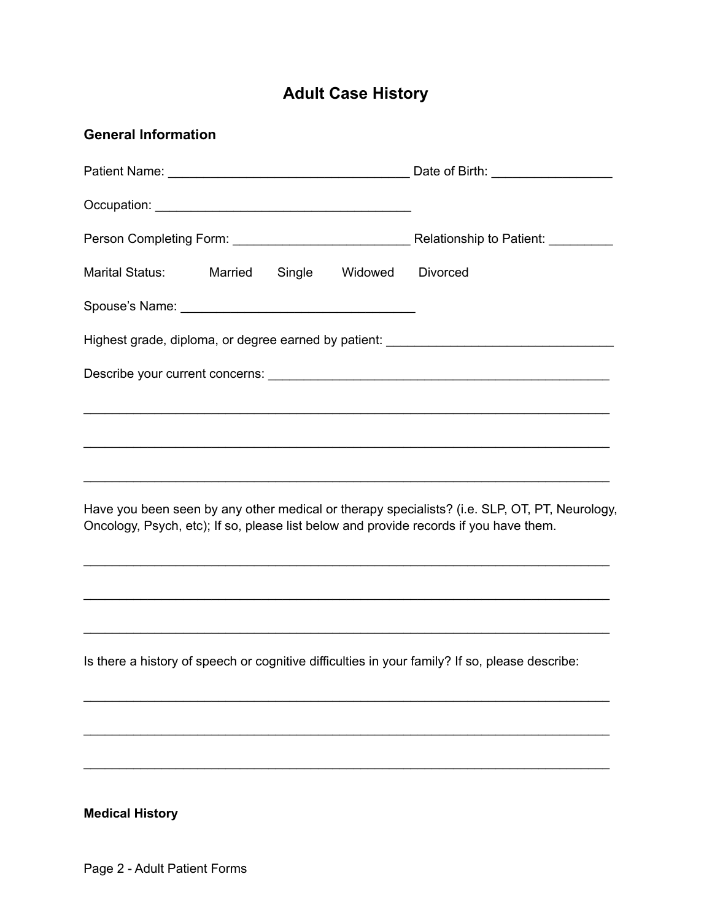## **Adult Case History**

| <b>General Information</b>                                                                                                                                                             |                 |  |
|----------------------------------------------------------------------------------------------------------------------------------------------------------------------------------------|-----------------|--|
|                                                                                                                                                                                        |                 |  |
|                                                                                                                                                                                        |                 |  |
|                                                                                                                                                                                        |                 |  |
| Marital Status: Married<br>Single<br>Widowed                                                                                                                                           | <b>Divorced</b> |  |
|                                                                                                                                                                                        |                 |  |
| Highest grade, diploma, or degree earned by patient: ____________________________                                                                                                      |                 |  |
|                                                                                                                                                                                        |                 |  |
| ,我们也不能在这里的人,我们也不能在这里的人,我们也不能在这里的人,我们也不能在这里的人,我们也不能在这里的人,我们也不能在这里的人,我们也不能在这里的人,我们也                                                                                                      |                 |  |
|                                                                                                                                                                                        |                 |  |
|                                                                                                                                                                                        |                 |  |
| Have you been seen by any other medical or therapy specialists? (i.e. SLP, OT, PT, Neurology,<br>Oncology, Psych, etc); If so, please list below and provide records if you have them. |                 |  |
|                                                                                                                                                                                        |                 |  |
|                                                                                                                                                                                        |                 |  |
| Is there a history of speech or cognitive difficulties in your family? If so, please describe:                                                                                         |                 |  |
|                                                                                                                                                                                        |                 |  |
|                                                                                                                                                                                        |                 |  |
|                                                                                                                                                                                        |                 |  |
| <b>Medical History</b>                                                                                                                                                                 |                 |  |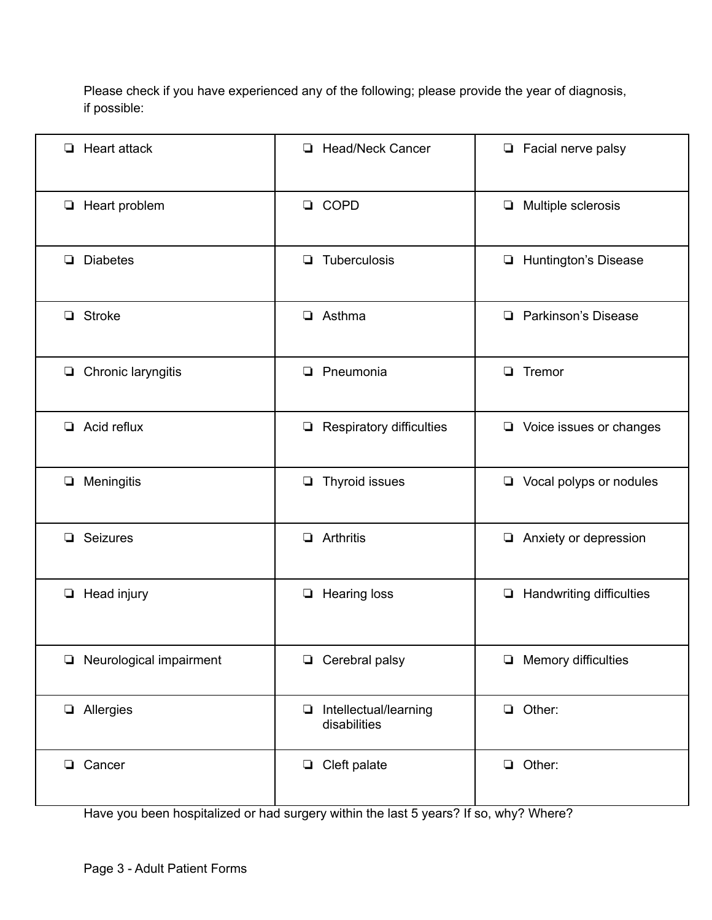Please check if you have experienced any of the following; please provide the year of diagnosis, if possible:

| Heart attack<br>$\Box$            | <b>Head/Neck Cancer</b><br>$\Box$         | $\Box$ Facial nerve palsy          |
|-----------------------------------|-------------------------------------------|------------------------------------|
| $\Box$ Heart problem              | <b>COPD</b><br>$\Box$                     | Multiple sclerosis<br>$\Box$       |
| <b>Diabetes</b><br>❏              | Tuberculosis<br>❏                         | Huntington's Disease<br>Q          |
| $\Box$ Stroke                     | Asthma<br>$\Box$                          | Parkinson's Disease<br>$\Box$      |
| $\Box$ Chronic laryngitis         | Pneumonia<br>$\Box$                       | $\Box$ Tremor                      |
| $\Box$ Acid reflux                | <b>Respiratory difficulties</b><br>$\Box$ | $\Box$ Voice issues or changes     |
| Meningitis<br>$\Box$              | Thyroid issues<br>❏                       | $\Box$ Vocal polyps or nodules     |
| Seizures<br>❏                     | Arthritis<br>$\Box$                       | Anxiety or depression<br>$\Box$    |
| Head injury<br>$\Box$             | <b>Hearing loss</b><br>$\Box$             | Handwriting difficulties<br>$\Box$ |
| Neurological impairment<br>$\Box$ | Cerebral palsy<br>$\Box$                  | Memory difficulties<br>Q           |
| Allergies                         | Intellectual/learning<br>disabilities     | $\Box$ Other:                      |
| <b>Q</b> Cancer                   | $\Box$ Cleft palate                       | $\Box$ Other:                      |

Have you been hospitalized or had surgery within the last 5 years? If so, why? Where?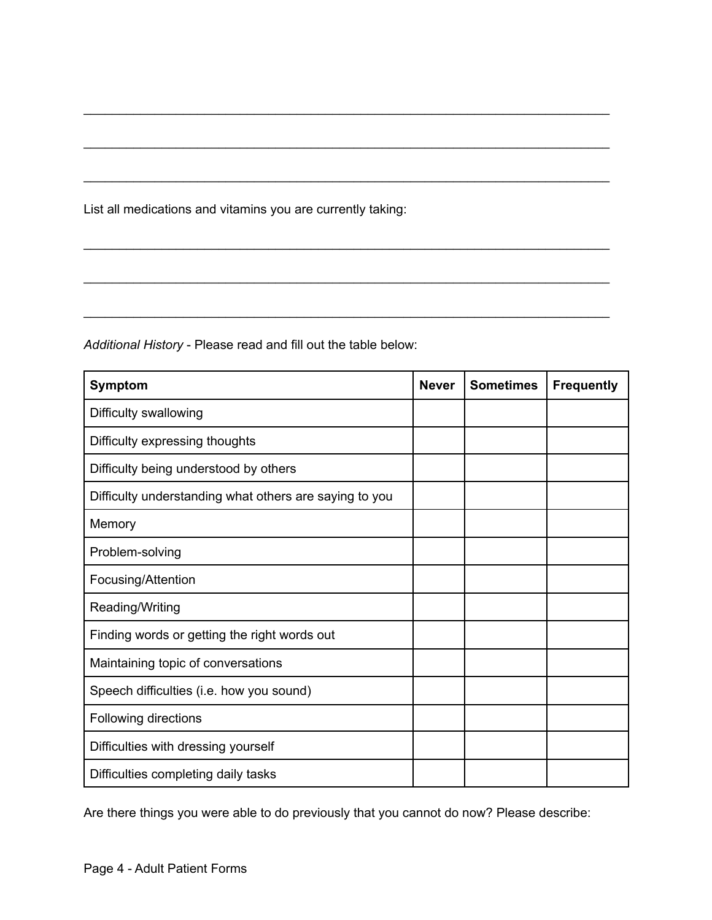List all medications and vitamins you are currently taking:

**Symptom Never Sometimes Frequently** Difficulty swallowing Difficulty expressing thoughts Difficulty being understood by others Difficulty understanding what others are saying to you Memory Problem-solving Focusing/Attention Reading/Writing Finding words or getting the right words out Maintaining topic of conversations Speech difficulties (i.e. how you sound) Following directions Difficulties with dressing yourself Difficulties completing daily tasks

\_\_\_\_\_\_\_\_\_\_\_\_\_\_\_\_\_\_\_\_\_\_\_\_\_\_\_\_\_\_\_\_\_\_\_\_\_\_\_\_\_\_\_\_\_\_\_\_\_\_\_\_\_\_\_\_\_\_\_\_\_\_\_\_\_\_\_\_\_\_\_\_\_\_

\_\_\_\_\_\_\_\_\_\_\_\_\_\_\_\_\_\_\_\_\_\_\_\_\_\_\_\_\_\_\_\_\_\_\_\_\_\_\_\_\_\_\_\_\_\_\_\_\_\_\_\_\_\_\_\_\_\_\_\_\_\_\_\_\_\_\_\_\_\_\_\_\_\_

\_\_\_\_\_\_\_\_\_\_\_\_\_\_\_\_\_\_\_\_\_\_\_\_\_\_\_\_\_\_\_\_\_\_\_\_\_\_\_\_\_\_\_\_\_\_\_\_\_\_\_\_\_\_\_\_\_\_\_\_\_\_\_\_\_\_\_\_\_\_\_\_\_\_

\_\_\_\_\_\_\_\_\_\_\_\_\_\_\_\_\_\_\_\_\_\_\_\_\_\_\_\_\_\_\_\_\_\_\_\_\_\_\_\_\_\_\_\_\_\_\_\_\_\_\_\_\_\_\_\_\_\_\_\_\_\_\_\_\_\_\_\_\_\_\_\_\_\_

\_\_\_\_\_\_\_\_\_\_\_\_\_\_\_\_\_\_\_\_\_\_\_\_\_\_\_\_\_\_\_\_\_\_\_\_\_\_\_\_\_\_\_\_\_\_\_\_\_\_\_\_\_\_\_\_\_\_\_\_\_\_\_\_\_\_\_\_\_\_\_\_\_\_

\_\_\_\_\_\_\_\_\_\_\_\_\_\_\_\_\_\_\_\_\_\_\_\_\_\_\_\_\_\_\_\_\_\_\_\_\_\_\_\_\_\_\_\_\_\_\_\_\_\_\_\_\_\_\_\_\_\_\_\_\_\_\_\_\_\_\_\_\_\_\_\_\_\_

*Additional History* - Please read and fill out the table below:

Are there things you were able to do previously that you cannot do now? Please describe: